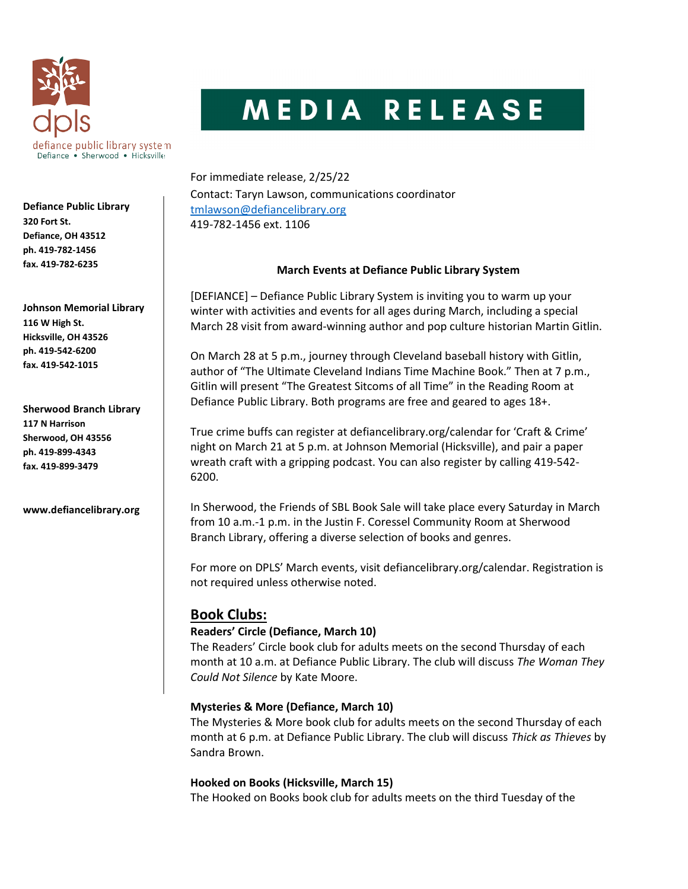

# MEDIA RELEASE

For immediate release, 2/25/22 Contact: Taryn Lawson, communications coordinator tmlawson@defiancelibrary.org 419-782-1456 ext. 1106

#### March Events at Defiance Public Library System

[DEFIANCE] – Defiance Public Library System is inviting you to warm up your winter with activities and events for all ages during March, including a special March 28 visit from award-winning author and pop culture historian Martin Gitlin.

On March 28 at 5 p.m., journey through Cleveland baseball history with Gitlin, author of "The Ultimate Cleveland Indians Time Machine Book." Then at 7 p.m., Gitlin will present "The Greatest Sitcoms of all Time" in the Reading Room at Defiance Public Library. Both programs are free and geared to ages 18+.

True crime buffs can register at defiancelibrary.org/calendar for 'Craft & Crime' night on March 21 at 5 p.m. at Johnson Memorial (Hicksville), and pair a paper wreath craft with a gripping podcast. You can also register by calling 419-542- 6200.

In Sherwood, the Friends of SBL Book Sale will take place every Saturday in March from 10 a.m.-1 p.m. in the Justin F. Coressel Community Room at Sherwood Branch Library, offering a diverse selection of books and genres.

For more on DPLS' March events, visit defiancelibrary.org/calendar. Registration is not required unless otherwise noted.

# Book Clubs:

# Readers' Circle (Defiance, March 10)

The Readers' Circle book club for adults meets on the second Thursday of each month at 10 a.m. at Defiance Public Library. The club will discuss The Woman They Could Not Silence by Kate Moore.

# Mysteries & More (Defiance, March 10)

The Mysteries & More book club for adults meets on the second Thursday of each month at 6 p.m. at Defiance Public Library. The club will discuss Thick as Thieves by Sandra Brown.

#### Hooked on Books (Hicksville, March 15)

The Hooked on Books book club for adults meets on the third Tuesday of the

Defiance Public Library 320 Fort St. Defiance, OH 43512 ph. 419-782-1456 fax. 419-782-6235

Johnson Memorial Library 116 W High St. Hicksville, OH 43526 ph. 419-542-6200 fax. 419-542-1015

Sherwood Branch Library 117 N Harrison Sherwood, OH 43556 ph. 419-899-4343 fax. 419-899-3479

www.defiancelibrary.org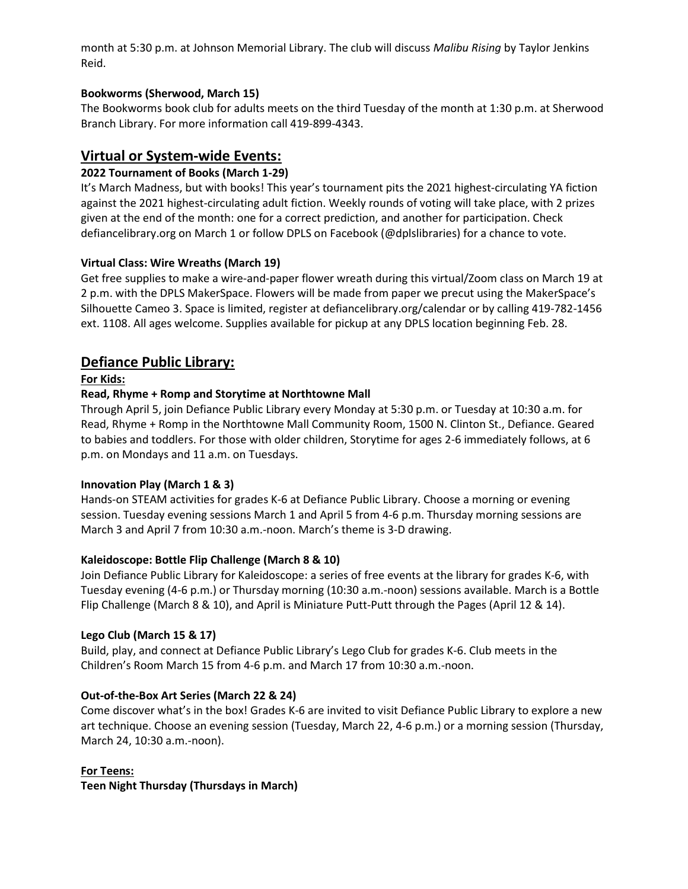month at 5:30 p.m. at Johnson Memorial Library. The club will discuss Malibu Rising by Taylor Jenkins Reid.

#### Bookworms (Sherwood, March 15)

The Bookworms book club for adults meets on the third Tuesday of the month at 1:30 p.m. at Sherwood Branch Library. For more information call 419-899-4343.

# Virtual or System-wide Events:

# 2022 Tournament of Books (March 1-29)

It's March Madness, but with books! This year's tournament pits the 2021 highest-circulating YA fiction against the 2021 highest-circulating adult fiction. Weekly rounds of voting will take place, with 2 prizes given at the end of the month: one for a correct prediction, and another for participation. Check defiancelibrary.org on March 1 or follow DPLS on Facebook (@dplslibraries) for a chance to vote.

# Virtual Class: Wire Wreaths (March 19)

Get free supplies to make a wire-and-paper flower wreath during this virtual/Zoom class on March 19 at 2 p.m. with the DPLS MakerSpace. Flowers will be made from paper we precut using the MakerSpace's Silhouette Cameo 3. Space is limited, register at defiancelibrary.org/calendar or by calling 419-782-1456 ext. 1108. All ages welcome. Supplies available for pickup at any DPLS location beginning Feb. 28.

# Defiance Public Library:

#### For Kids:

#### Read, Rhyme + Romp and Storytime at Northtowne Mall

Through April 5, join Defiance Public Library every Monday at 5:30 p.m. or Tuesday at 10:30 a.m. for Read, Rhyme + Romp in the Northtowne Mall Community Room, 1500 N. Clinton St., Defiance. Geared to babies and toddlers. For those with older children, Storytime for ages 2-6 immediately follows, at 6 p.m. on Mondays and 11 a.m. on Tuesdays.

#### Innovation Play (March 1 & 3)

Hands-on STEAM activities for grades K-6 at Defiance Public Library. Choose a morning or evening session. Tuesday evening sessions March 1 and April 5 from 4-6 p.m. Thursday morning sessions are March 3 and April 7 from 10:30 a.m.-noon. March's theme is 3-D drawing.

#### Kaleidoscope: Bottle Flip Challenge (March 8 & 10)

Join Defiance Public Library for Kaleidoscope: a series of free events at the library for grades K-6, with Tuesday evening (4-6 p.m.) or Thursday morning (10:30 a.m.-noon) sessions available. March is a Bottle Flip Challenge (March 8 & 10), and April is Miniature Putt-Putt through the Pages (April 12 & 14).

#### Lego Club (March 15 & 17)

Build, play, and connect at Defiance Public Library's Lego Club for grades K-6. Club meets in the Children's Room March 15 from 4-6 p.m. and March 17 from 10:30 a.m.-noon.

#### Out-of-the-Box Art Series (March 22 & 24)

Come discover what's in the box! Grades K-6 are invited to visit Defiance Public Library to explore a new art technique. Choose an evening session (Tuesday, March 22, 4-6 p.m.) or a morning session (Thursday, March 24, 10:30 a.m.-noon).

#### For Teens:

#### Teen Night Thursday (Thursdays in March)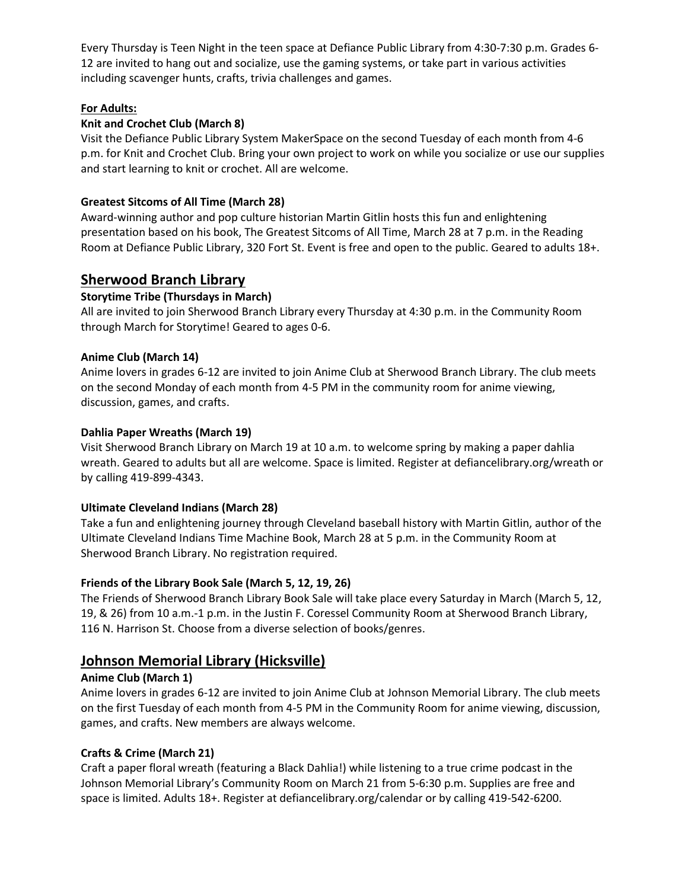Every Thursday is Teen Night in the teen space at Defiance Public Library from 4:30-7:30 p.m. Grades 6- 12 are invited to hang out and socialize, use the gaming systems, or take part in various activities including scavenger hunts, crafts, trivia challenges and games.

# For Adults:

# Knit and Crochet Club (March 8)

Visit the Defiance Public Library System MakerSpace on the second Tuesday of each month from 4-6 p.m. for Knit and Crochet Club. Bring your own project to work on while you socialize or use our supplies and start learning to knit or crochet. All are welcome.

# Greatest Sitcoms of All Time (March 28)

Award-winning author and pop culture historian Martin Gitlin hosts this fun and enlightening presentation based on his book, The Greatest Sitcoms of All Time, March 28 at 7 p.m. in the Reading Room at Defiance Public Library, 320 Fort St. Event is free and open to the public. Geared to adults 18+.

# Sherwood Branch Library

# Storytime Tribe (Thursdays in March)

All are invited to join Sherwood Branch Library every Thursday at 4:30 p.m. in the Community Room through March for Storytime! Geared to ages 0-6.

# Anime Club (March 14)

Anime lovers in grades 6-12 are invited to join Anime Club at Sherwood Branch Library. The club meets on the second Monday of each month from 4-5 PM in the community room for anime viewing, discussion, games, and crafts.

# Dahlia Paper Wreaths (March 19)

Visit Sherwood Branch Library on March 19 at 10 a.m. to welcome spring by making a paper dahlia wreath. Geared to adults but all are welcome. Space is limited. Register at defiancelibrary.org/wreath or by calling 419-899-4343.

# Ultimate Cleveland Indians (March 28)

Take a fun and enlightening journey through Cleveland baseball history with Martin Gitlin, author of the Ultimate Cleveland Indians Time Machine Book, March 28 at 5 p.m. in the Community Room at Sherwood Branch Library. No registration required.

# Friends of the Library Book Sale (March 5, 12, 19, 26)

The Friends of Sherwood Branch Library Book Sale will take place every Saturday in March (March 5, 12, 19, & 26) from 10 a.m.-1 p.m. in the Justin F. Coressel Community Room at Sherwood Branch Library, 116 N. Harrison St. Choose from a diverse selection of books/genres.

# Johnson Memorial Library (Hicksville)

# Anime Club (March 1)

Anime lovers in grades 6-12 are invited to join Anime Club at Johnson Memorial Library. The club meets on the first Tuesday of each month from 4-5 PM in the Community Room for anime viewing, discussion, games, and crafts. New members are always welcome.

# Crafts & Crime (March 21)

Craft a paper floral wreath (featuring a Black Dahlia!) while listening to a true crime podcast in the Johnson Memorial Library's Community Room on March 21 from 5-6:30 p.m. Supplies are free and space is limited. Adults 18+. Register at defiancelibrary.org/calendar or by calling 419-542-6200.